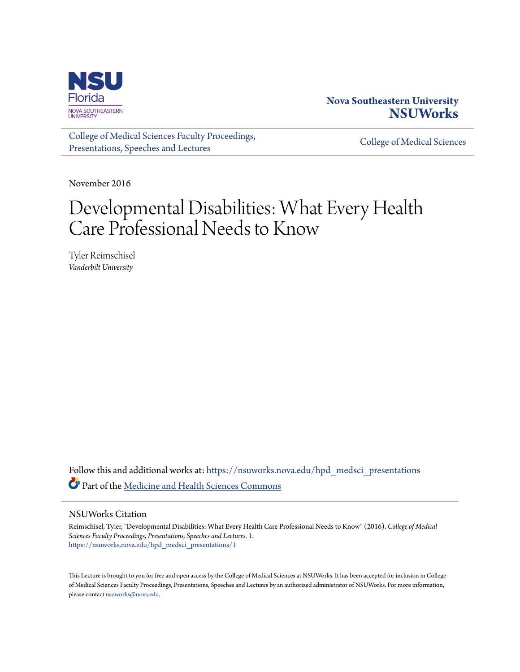

## **Nova Southeastern University [NSUWorks](https://nsuworks.nova.edu?utm_source=nsuworks.nova.edu%2Fhpd_medsci_presentations%2F1&utm_medium=PDF&utm_campaign=PDFCoverPages)**

[College of Medical Sciences Faculty Proceedings,](https://nsuworks.nova.edu/hpd_medsci_presentations?utm_source=nsuworks.nova.edu%2Fhpd_medsci_presentations%2F1&utm_medium=PDF&utm_campaign=PDFCoverPages) [Presentations, Speeches and Lectures](https://nsuworks.nova.edu/hpd_medsci_presentations?utm_source=nsuworks.nova.edu%2Fhpd_medsci_presentations%2F1&utm_medium=PDF&utm_campaign=PDFCoverPages)

[College of Medical Sciences](https://nsuworks.nova.edu/hpd_medsci?utm_source=nsuworks.nova.edu%2Fhpd_medsci_presentations%2F1&utm_medium=PDF&utm_campaign=PDFCoverPages)

November 2016

## Developmental Disabilities: What Every Health Care Professional Needs to Know

Tyler Reimschisel *Vanderbilt University*

Follow this and additional works at: [https://nsuworks.nova.edu/hpd\\_medsci\\_presentations](https://nsuworks.nova.edu/hpd_medsci_presentations?utm_source=nsuworks.nova.edu%2Fhpd_medsci_presentations%2F1&utm_medium=PDF&utm_campaign=PDFCoverPages) Part of the [Medicine and Health Sciences Commons](http://network.bepress.com/hgg/discipline/648?utm_source=nsuworks.nova.edu%2Fhpd_medsci_presentations%2F1&utm_medium=PDF&utm_campaign=PDFCoverPages)

#### NSUWorks Citation

Reimschisel, Tyler, "Developmental Disabilities: What Every Health Care Professional Needs to Know" (2016). *College of Medical Sciences Faculty Proceedings, Presentations, Speeches and Lectures*. 1. [https://nsuworks.nova.edu/hpd\\_medsci\\_presentations/1](https://nsuworks.nova.edu/hpd_medsci_presentations/1?utm_source=nsuworks.nova.edu%2Fhpd_medsci_presentations%2F1&utm_medium=PDF&utm_campaign=PDFCoverPages)

This Lecture is brought to you for free and open access by the College of Medical Sciences at NSUWorks. It has been accepted for inclusion in College of Medical Sciences Faculty Proceedings, Presentations, Speeches and Lectures by an authorized administrator of NSUWorks. For more information, please contact [nsuworks@nova.edu](mailto:nsuworks@nova.edu).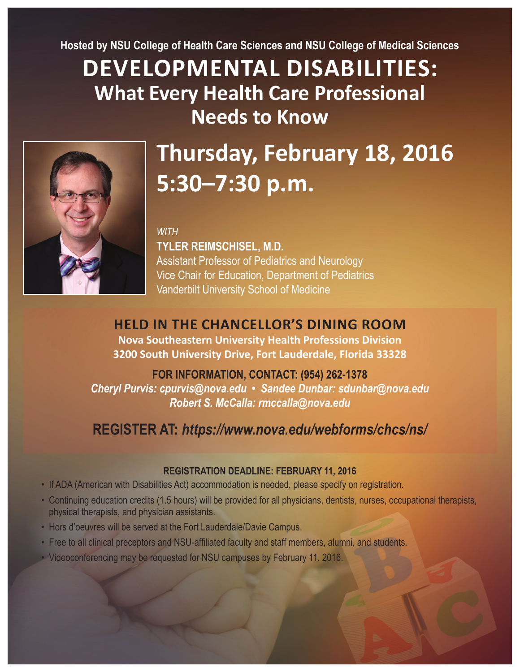**Hosted by NSU College of Health Care Sciences and NSU College of Medical Sciences**

# **DEVELOPMENTAL DISABILITIES: What Every Health Care Professional Needs to Know**



# **Thursday, February 18, 2016 5:30–7:30 p.m.**

#### *WITH*

**TYLER REIMSCHISEL, M.D.** Assistant Professor of Pediatrics and Neurology Vice Chair for Education, Department of Pediatrics Vanderbilt University School of Medicine

## **HELD IN THE CHANCELLOR'S DINING ROOM**

**Nova Southeastern University Health Professions Division 3200 South University Drive, Fort Lauderdale, Florida 33328**

## **FOR INFORMATION, CONTACT: (954) 262-1378**

*Cheryl Purvis: cpurvis@nova.edu • Sandee Dunbar: sdunbar@nova.edu Robert S. McCalla: rmccalla@nova.edu*

## **REGISTER AT:** *https://www.nova.edu/webforms/chcs/ns/*

## **REGISTRATION DEADLINE: FEBRUARY 11, 2016**

- If ADA (American with Disabilities Act) accommodation is needed, please specify on registration.
- Continuing education credits (1.5 hours) will be provided for all physicians, dentists, nurses, occupational therapists, physical therapists, and physician assistants.
- Hors d'oeuvres will be served at the Fort Lauderdale/Davie Campus.
- Free to all clinical preceptors and NSU-affiliated faculty and staff members, alumni, and students.
- Videoconferencing may be requested for NSU campuses by February 11, 2016.